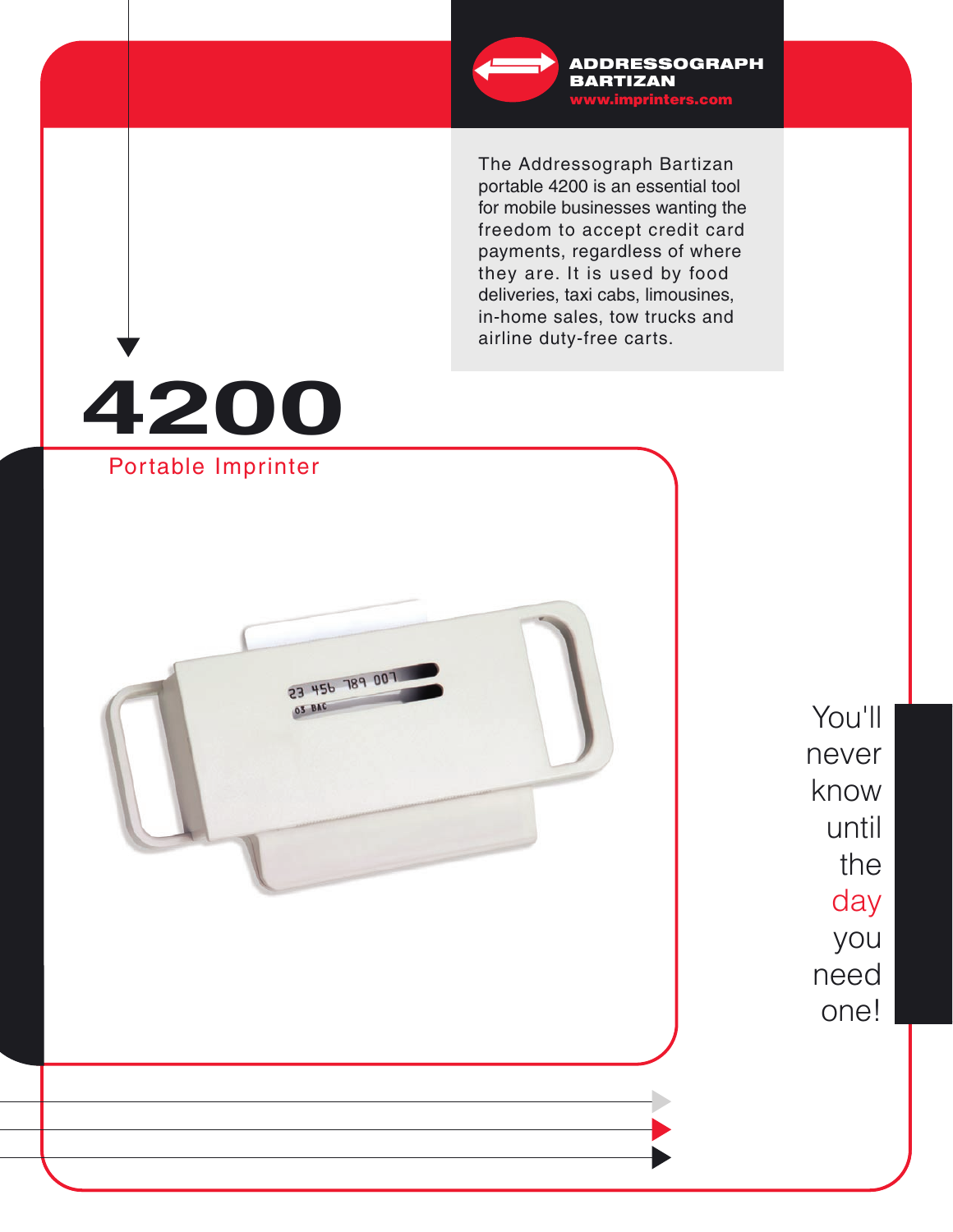

www.imprinters.com ADDRESSOGRAPH BARTIZAN

The Addressograph Bartizan portable 4200 is an essential tool for mobile businesses wanting the freedom to accept credit card payments, regardless of where they are. It is used by food deliveries, taxi cabs, limousines, in-home sales, tow trucks and airline duty-free carts.

# **4200** Portable Imprinter

23 456 789 007

03 BAC

You'll never know until the day you need one!